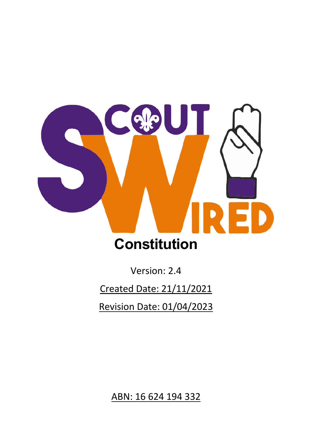

Version: 2.4

Created Date: 21/11/2021

Revision Date: 01/04/2023

ABN: 16 624 194 332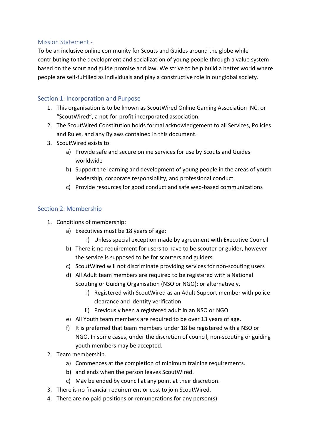### Mission Statement -

To be an inclusive online community for Scouts and Guides around the globe while contributing to the development and socialization of young people through a value system based on the scout and guide promise and law. We strive to help build a better world where people are self-fulfilled as individuals and play a constructive role in our global society.

# Section 1: Incorporation and Purpose

- 1. This organisation is to be known as ScoutWired Online Gaming Association INC. or "ScoutWired", a not-for-profit incorporated association.
- 2. The ScoutWired Constitution holds formal acknowledgement to all Services, Policies and Rules, and any Bylaws contained in this document.
- 3. ScoutWired exists to:
	- a) Provide safe and secure online services for use by Scouts and Guides worldwide
	- b) Support the learning and development of young people in the areas of youth leadership, corporate responsibility, and professional conduct
	- c) Provide resources for good conduct and safe web-based communications

## Section 2: Membership

- 1. Conditions of membership:
	- a) Executives must be 18 years of age;
		- i) Unless special exception made by agreement with Executive Council
	- b) There is no requirement for users to have to be scouter or guider, however the service is supposed to be for scouters and guiders
	- c) ScoutWired will not discriminate providing services for non-scouting users
	- d) All Adult team members are required to be registered with a National Scouting or Guiding Organisation (NSO or NGO); or alternatively.
		- i) Registered with ScoutWired as an Adult Support member with police clearance and identity verification
		- ii) Previously been a registered adult in an NSO or NGO
	- e) All Youth team members are required to be over 13 years of age.
	- f) It is preferred that team members under 18 be registered with a NSO or NGO. In some cases, under the discretion of council, non-scouting or guiding youth members may be accepted.
- 2. Team membership.
	- a) Commences at the completion of minimum training requirements.
	- b) and ends when the person leaves ScoutWired.
	- c) May be ended by council at any point at their discretion.
- 3. There is no financial requirement or cost to join ScoutWired.
- 4. There are no paid positions or remunerations for any person(s)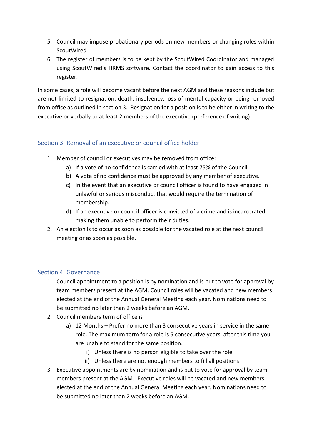- 5. Council may impose probationary periods on new members or changing roles within ScoutWired
- 6. The register of members is to be kept by the ScoutWired Coordinator and managed using ScoutWired's HRMS software. Contact the coordinator to gain access to this register.

In some cases, a role will become vacant before the next AGM and these reasons include but are not limited to resignation, death, insolvency, loss of mental capacity or being removed from office as outlined in section 3. Resignation for a position is to be either in writing to the executive or verbally to at least 2 members of the executive (preference of writing)

## Section 3: Removal of an executive or council office holder

- 1. Member of council or executives may be removed from office:
	- a) If a vote of no confidence is carried with at least 75% of the Council.
	- b) A vote of no confidence must be approved by any member of executive.
	- c) In the event that an executive or council officer is found to have engaged in unlawful or serious misconduct that would require the termination of membership.
	- d) If an executive or council officer is convicted of a crime and is incarcerated making them unable to perform their duties.
- 2. An election is to occur as soon as possible for the vacated role at the next council meeting or as soon as possible.

## Section 4: Governance

- 1. Council appointment to a position is by nomination and is put to vote for approval by team members present at the AGM. Council roles will be vacated and new members elected at the end of the Annual General Meeting each year. Nominations need to be submitted no later than 2 weeks before an AGM.
- 2. Council members term of office is
	- a) 12 Months Prefer no more than 3 consecutive years in service in the same role. The maximum term for a role is 5 consecutive years, after this time you are unable to stand for the same position.
		- i) Unless there is no person eligible to take over the role
		- ii) Unless there are not enough members to fill all positions
- 3. Executive appointments are by nomination and is put to vote for approval by team members present at the AGM. Executive roles will be vacated and new members elected at the end of the Annual General Meeting each year. Nominations need to be submitted no later than 2 weeks before an AGM.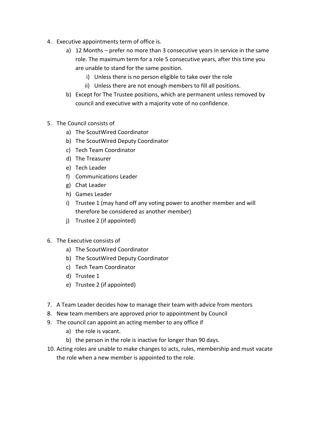- 4. Executive appointments term of office is.
	- a) 12 Months prefer no more than 3 consecutive years in service in the same role. The maximum term for a role 5 consecutive years, after this time you are unable to stand for the same position.
		- i) Unless there is no person eligible to take over the role
		- ii) Unless there are not enough members to fill all positions.
	- b) Except for The Trustee positions, which are permanent unless removed by council and executive with a majority vote of no confidence.
- 5. The Council consists of
	- a) The ScoutWired Coordinator
	- b) The ScoutWired Deputy Coordinator
	- c) Tech Team Coordinator
	- d) The Treasurer
	- e) Tech Leader
	- f) Communications Leader
	- g) Chat Leader
	- h) Games Leader
	- i) Trustee 1 (may hand off any voting power to another member and will therefore be considered as another member)
	- j) Trustee 2 (if appointed)
- 6. The Executive consists of
	- a) The ScoutWired Coordinator
	- b) The ScoutWired Deputy Coordinator
	- c) Tech Team Coordinator
	- d) Trustee 1
	- e) Trustee 2 (if appointed)
- 7. A Team Leader decides how to manage their team with advice from mentors
- 8. New team members are approved prior to appointment by Council
- 9. The council can appoint an acting member to any office if
	- a) the role is vacant.
	- b) the person in the role is inactive for longer than 90 days.
- 10. Acting roles are unable to make changes to acts, rules, membership and must vacate the role when a new member is appointed to the role.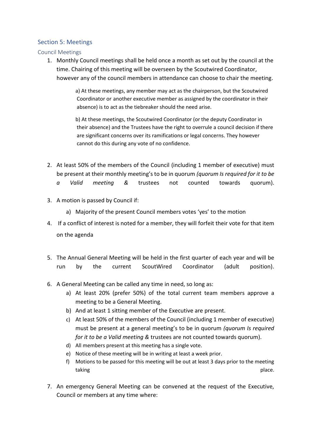#### Section 5: Meetings

Council Meetings

1. Monthly Council meetings shall be held once a month as set out by the council at the time. Chairing of this meeting will be overseen by the Scoutwired Coordinator, however any of the council members in attendance can choose to chair the meeting.

> a) At these meetings, any member may act as the chairperson, but the Scoutwired Coordinator or another executive member as assigned by the coordinator in their absence) is to act as the tiebreaker should the need arise.

b) At these meetings, the Scoutwired Coordinator (or the deputy Coordinator in their absence) and the Trustees have the right to overrule a council decision if there are significant concerns over its ramifications or legal concerns. They however cannot do this during any vote of no confidence.

- 2. At least 50% of the members of the Council (including 1 member of executive) must be present at their monthly meeting's to be in quorum *(quorum Is required for it to be* 
	- *a Valid meeting &* trustees not counted towards quorum).
- 3. A motion is passed by Council if:
	- a) Majority of the present Council members votes 'yes' to the motion
- 4. If a conflict of interest is noted for a member, they will forfeit their vote for that item on the agenda
- 5. The Annual General Meeting will be held in the first quarter of each year and will be run by the current ScoutWired Coordinator (adult position).
- 6. A General Meeting can be called any time in need, so long as:
	- a) At least 20% (prefer 50%) of the total current team members approve a meeting to be a General Meeting.
	- b) And at least 1 sitting member of the Executive are present.
	- c) At least 50% of the members of the Council (including 1 member of executive) must be present at a general meeting's to be in quorum *(quorum Is required for it to be a Valid meeting &* trustees are not counted towards quorum).
	- d) All members present at this meeting has a single vote.
	- e) Notice of these meeting will be in writing at least a week prior.
	- f) Motions to be passed for this meeting will be out at least 3 days prior to the meeting taking place.
- 7. An emergency General Meeting can be convened at the request of the Executive, Council or members at any time where: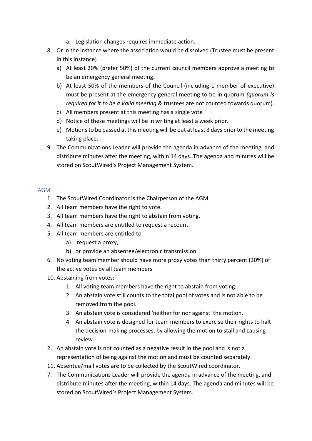- a. Legislation changes requires immediate action.
- 8. Or in the instance where the association would be dissolved (Trustee must be present in this instance)
	- a) At least 20% (prefer 50%) of the current council members approve a meeting to be an emergency general meeting.
	- b) At least 50% of the members of the Council (including 1 member of executive) must be present at the emergency general meeting to be in quorum *(quorum Is required for it to be a Valid meeting &* trustees are not counted towards quorum).
	- c) All members present at this meeting has a single vote
	- d) Notice of these meetings will be in writing at least a week prior.
	- e) Motions to be passed at this meeting will be out at least 3 days prior to the meeting taking place.
- 9. The Communications Leader will provide the agenda in advance of the meeting, and distribute minutes after the meeting, within 14 days. The agenda and minutes will be stored on ScoutWired's Project Management System.

### AGM

- 1. The ScoutWired Coordinator is the Chairperson of the AGM
- 2. All team members have the right to vote.
- 3. All team members have the right to abstain from voting.
- 4. All team members are entitled to request a recount.
- 5. All team members are entitled to
	- a) request a proxy,
	- b) or provide an absentee/electronic transmission.
- 6. No voting team member should have more proxy votes than thirty percent (30%) of the active votes by all team members
- 10. Abstaining from votes:
	- 1. All voting team members have the right to abstain from voting.
	- 2. An abstain vote still counts to the total pool of votes and is not able to be removed from the pool.
	- 3. An abstain vote is considered 'neither for nor against' the motion.
	- 4. An abstain vote is designed for team members to exercise their rights to halt the decision-making processes, by allowing the motion to stall and causing review.
- 2. An abstain vote is not counted as a negative result in the pool and is not a representation of being against the motion and must be counted separately.
- 11. Absentee/mail votes are to be collected by the ScoutWired coordinator.
- 7. The Communications Leader will provide the agenda in advance of the meeting, and distribute minutes after the meeting, within 14 days. The agenda and minutes will be stored on ScoutWired's Project Management System.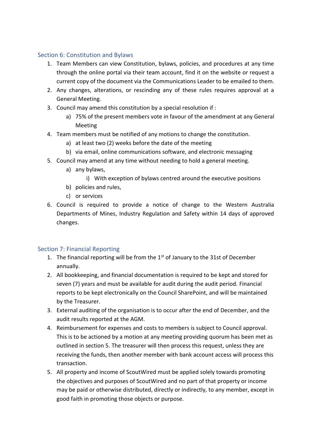### Section 6: Constitution and Bylaws

- 1. Team Members can view Constitution, bylaws, policies, and procedures at any time through the online portal via their team account, find it on the website or request a current copy of the document via the Communications Leader to be emailed to them.
- 2. Any changes, alterations, or rescinding any of these rules requires approval at a General Meeting.
- 3. Council may amend this constitution by a special resolution if :
	- a) 75% of the present members vote in favour of the amendment at any General Meeting
- 4. Team members must be notified of any motions to change the constitution.
	- a) at least two (2) weeks before the date of the meeting
	- b) via email, online communications software, and electronic messaging
- 5. Council may amend at any time without needing to hold a general meeting.
	- a) any bylaws,
		- i) With exception of bylaws centred around the executive positions
	- b) policies and rules,
	- c) or services
- 6. Council is required to provide a notice of change to the Western Australia Departments of Mines, Industry Regulation and Safety within 14 days of approved changes.

## Section 7: Financial Reporting

- 1. The financial reporting will be from the  $1<sup>st</sup>$  of January to the 31st of December annually.
- 2. All bookkeeping, and financial documentation is required to be kept and stored for seven (7) years and must be available for audit during the audit period. Financial reports to be kept electronically on the Council SharePoint, and will be maintained by the Treasurer.
- 3. External auditing of the organisation is to occur after the end of December, and the audit results reported at the AGM.
- 4. Reimbursement for expenses and costs to members is subject to Council approval. This is to be actioned by a motion at any meeting providing quorum has been met as outlined in section 5. The treasurer will then process this request, unless they are receiving the funds, then another member with bank account access will process this transaction.
- 5. All property and income of ScoutWired must be applied solely towards promoting the objectives and purposes of ScoutWired and no part of that property or income may be paid or otherwise distributed, directly or indirectly, to any member, except in good faith in promoting those objects or purpose.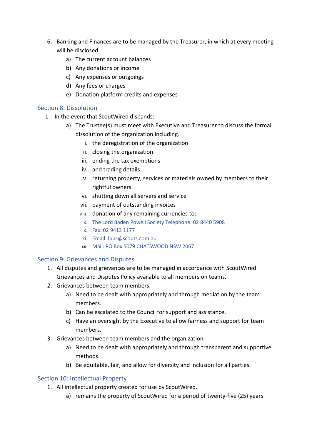- 6. Banking and Finances are to be managed by the Treasurer, in which at every meeting will be disclosed:
	- a) The current account balances
	- b) Any donations or income
	- c) Any expenses or outgoings
	- d) Any fees or charges
	- e) Donation platform credits and expenses

### Section 8: Dissolution

- 1. In the event that ScoutWired disbands:
	- a) The Trustee(s) must meet with Executive and Treasurer to discuss the formal dissolution of the organization including.
		- i. the deregistration of the organization
		- ii. closing the organization
		- iii. ending the tax exemptions
		- iv. and trading details
		- v. returning property, services or materials owned by members to their rightful owners.
		- vi. shutting down all servers and service
		- vii. payment of outstanding invoices
		- viii. donation of any remaining currencies to:
		- ix. The Lord Baden Powell Society Telephone: 02 8440 5908
		- x. Fax: 02 9413 1177
		- xi. Email: lbps@scouts.com.au
		- xii. Mail: PO Box 5079 CHATSWOOD NSW 2067

#### Section 9: Grievances and Disputes

- 1. All disputes and grievances are to be managed in accordance with ScoutWired Grievances and Disputes Policy available to all members on teams.
- 2. Grievances between team members.
	- a) Need to be dealt with appropriately and through mediation by the team members.
	- b) Can be escalated to the Council for support and assistance.
	- c) Have an oversight by the Executive to allow fairness and support for team members.
- 3. Grievances between team members and the organization.
	- a) Need to be dealt with appropriately and through transparent and supportive methods.
	- b) Be equitable, fair, and allow for diversity and inclusion for all parties.

## Section 10: Intellectual Property

- 1. All intellectual property created for use by ScoutWired.
	- a) remains the property of ScoutWired for a period of twenty-five (25) years